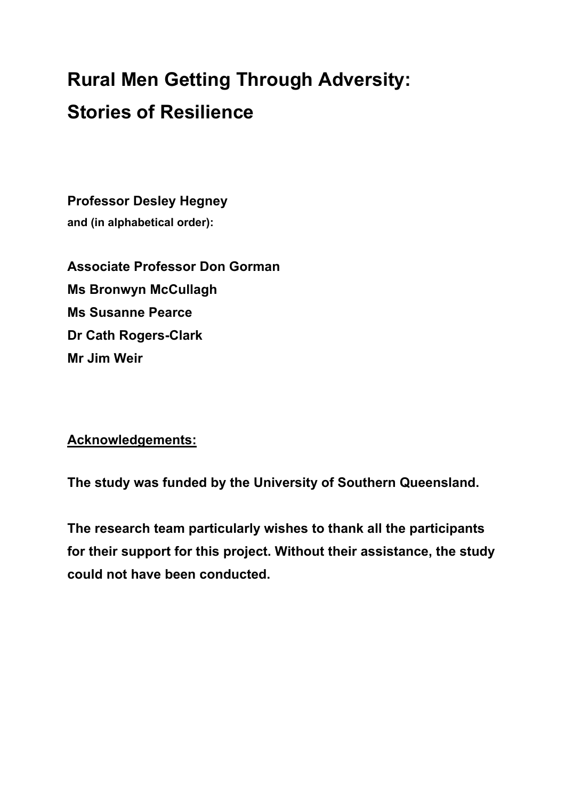# **Rural Men Getting Through Adversity: Stories of Resilience**

**Professor Desley Hegney and (in alphabetical order):** 

**Associate Professor Don Gorman Ms Bronwyn McCullagh Ms Susanne Pearce Dr Cath Rogers-Clark Mr Jim Weir** 

### **Acknowledgements:**

**The study was funded by the University of Southern Queensland.** 

**The research team particularly wishes to thank all the participants for their support for this project. Without their assistance, the study could not have been conducted.**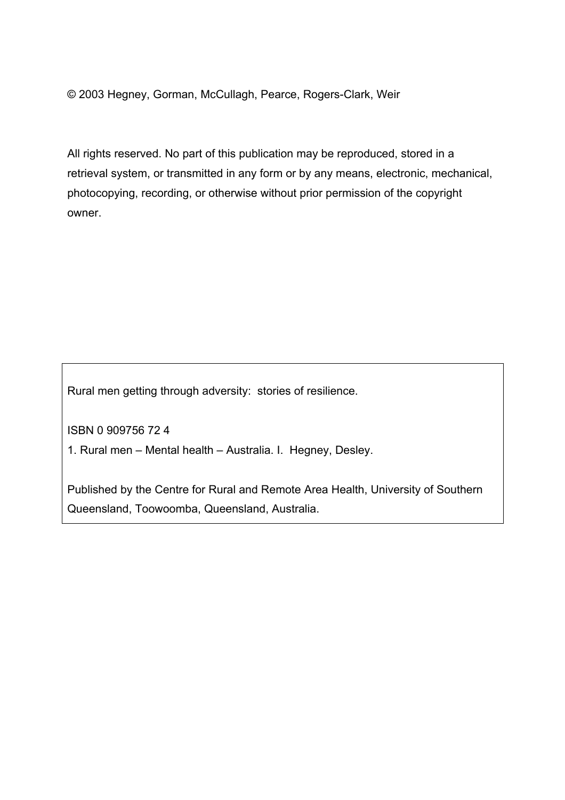© 2003 Hegney, Gorman, McCullagh, Pearce, Rogers-Clark, Weir

All rights reserved. No part of this publication may be reproduced, stored in a retrieval system, or transmitted in any form or by any means, electronic, mechanical, photocopying, recording, or otherwise without prior permission of the copyright owner.

Rural men getting through adversity: stories of resilience.

ISBN 0 909756 72 4

1. Rural men – Mental health – Australia. I. Hegney, Desley.

Published by the Centre for Rural and Remote Area Health, University of Southern Queensland, Toowoomba, Queensland, Australia.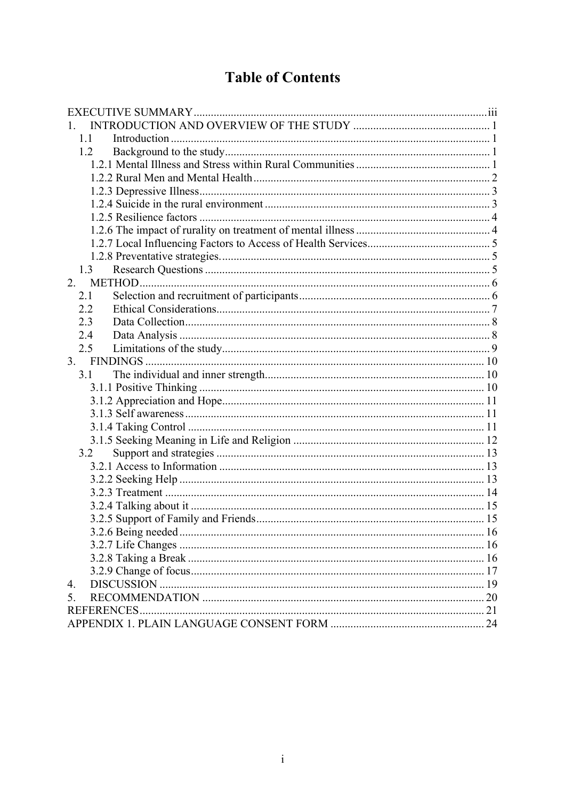# **Table of Contents**

| 1.1            |  |
|----------------|--|
| 1.2            |  |
|                |  |
|                |  |
|                |  |
|                |  |
|                |  |
|                |  |
|                |  |
|                |  |
| 1.3            |  |
| 2 <sub>1</sub> |  |
| 2.1            |  |
| 2.2            |  |
| 2.3            |  |
| 2.4            |  |
| 2.5            |  |
|                |  |
| 3.1            |  |
|                |  |
|                |  |
|                |  |
|                |  |
|                |  |
| 3.2            |  |
|                |  |
|                |  |
|                |  |
|                |  |
|                |  |
|                |  |
|                |  |
|                |  |
|                |  |
| 4.             |  |
| 5.             |  |
|                |  |
|                |  |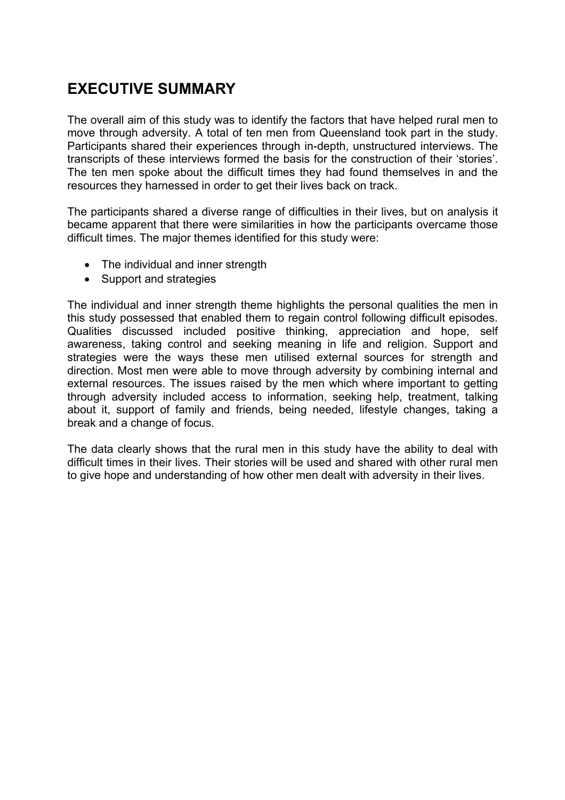## <span id="page-4-0"></span>**EXECUTIVE SUMMARY**

The overall aim of this study was to identify the factors that have helped rural men to move through adversity. A total of ten men from Queensland took part in the study. Participants shared their experiences through in-depth, unstructured interviews. The transcripts of these interviews formed the basis for the construction of their 'stories'. The ten men spoke about the difficult times they had found themselves in and the resources they harnessed in order to get their lives back on track.

The participants shared a diverse range of difficulties in their lives, but on analysis it became apparent that there were similarities in how the participants overcame those difficult times. The major themes identified for this study were:

- The individual and inner strength
- Support and strategies

The individual and inner strength theme highlights the personal qualities the men in this study possessed that enabled them to regain control following difficult episodes. Qualities discussed included positive thinking, appreciation and hope, self awareness, taking control and seeking meaning in life and religion. Support and strategies were the ways these men utilised external sources for strength and direction. Most men were able to move through adversity by combining internal and external resources. The issues raised by the men which where important to getting through adversity included access to information, seeking help, treatment, talking about it, support of family and friends, being needed, lifestyle changes, taking a break and a change of focus.

The data clearly shows that the rural men in this study have the ability to deal with difficult times in their lives. Their stories will be used and shared with other rural men to give hope and understanding of how other men dealt with adversity in their lives.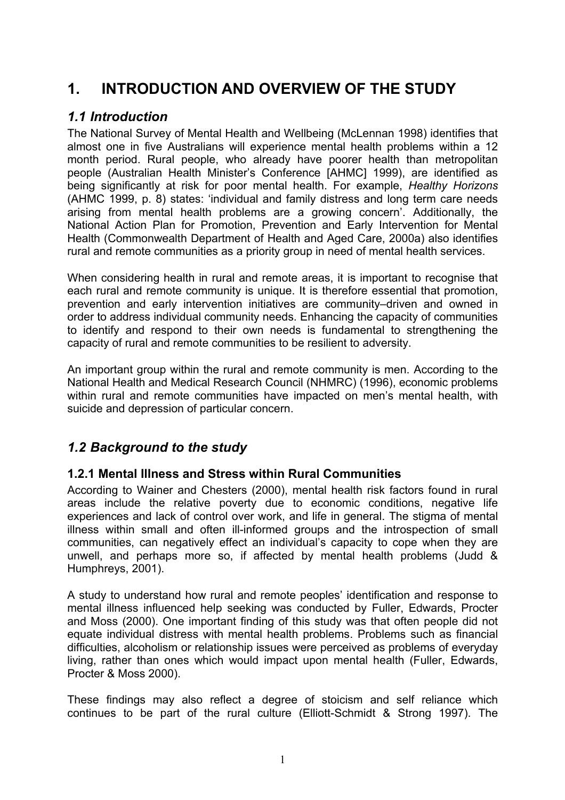# <span id="page-6-0"></span>**1. INTRODUCTION AND OVERVIEW OF THE STUDY**

### *1.1 Introduction*

The National Survey of Mental Health and Wellbeing (McLennan 1998) identifies that almost one in five Australians will experience mental health problems within a 12 month period. Rural people, who already have poorer health than metropolitan people (Australian Health Minister's Conference [AHMC] 1999), are identified as being significantly at risk for poor mental health. For example, *Healthy Horizons*  (AHMC 1999, p. 8) states: 'individual and family distress and long term care needs arising from mental health problems are a growing concern'. Additionally, the National Action Plan for Promotion, Prevention and Early Intervention for Mental Health (Commonwealth Department of Health and Aged Care, 2000a) also identifies rural and remote communities as a priority group in need of mental health services.

When considering health in rural and remote areas, it is important to recognise that each rural and remote community is unique. It is therefore essential that promotion, prevention and early intervention initiatives are community–driven and owned in order to address individual community needs. Enhancing the capacity of communities to identify and respond to their own needs is fundamental to strengthening the capacity of rural and remote communities to be resilient to adversity.

An important group within the rural and remote community is men. According to the National Health and Medical Research Council (NHMRC) (1996), economic problems within rural and remote communities have impacted on men's mental health, with suicide and depression of particular concern.

### *1.2 Background to the study*

#### **1.2.1 Mental Illness and Stress within Rural Communities**

According to Wainer and Chesters (2000), mental health risk factors found in rural areas include the relative poverty due to economic conditions, negative life experiences and lack of control over work, and life in general. The stigma of mental illness within small and often ill-informed groups and the introspection of small communities, can negatively effect an individual's capacity to cope when they are unwell, and perhaps more so, if affected by mental health problems (Judd & Humphreys, 2001).

A study to understand how rural and remote peoples' identification and response to mental illness influenced help seeking was conducted by Fuller, Edwards, Procter and Moss (2000). One important finding of this study was that often people did not equate individual distress with mental health problems. Problems such as financial difficulties, alcoholism or relationship issues were perceived as problems of everyday living, rather than ones which would impact upon mental health (Fuller, Edwards, Procter & Moss 2000).

These findings may also reflect a degree of stoicism and self reliance which continues to be part of the rural culture (Elliott-Schmidt & Strong 1997). The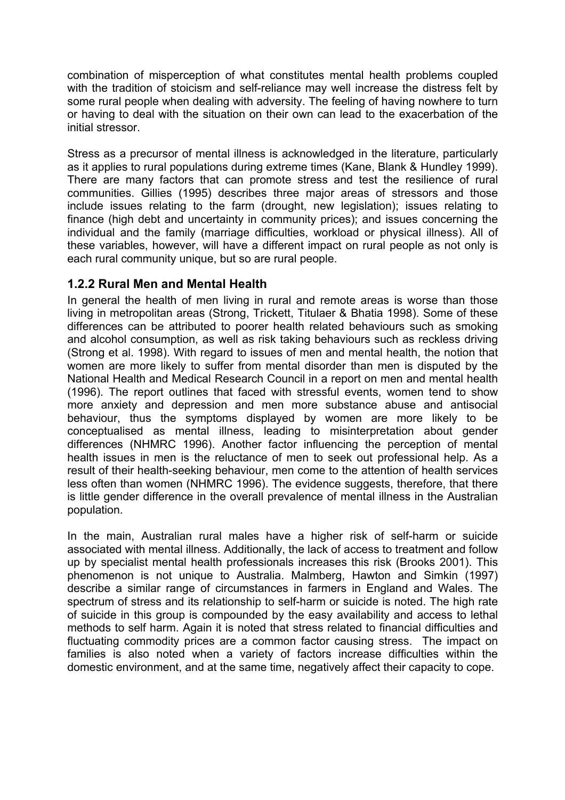<span id="page-7-0"></span>combination of misperception of what constitutes mental health problems coupled with the tradition of stoicism and self-reliance may well increase the distress felt by some rural people when dealing with adversity. The feeling of having nowhere to turn or having to deal with the situation on their own can lead to the exacerbation of the initial stressor.

Stress as a precursor of mental illness is acknowledged in the literature, particularly as it applies to rural populations during extreme times (Kane, Blank & Hundley 1999). There are many factors that can promote stress and test the resilience of rural communities. Gillies (1995) describes three major areas of stressors and those include issues relating to the farm (drought, new legislation); issues relating to finance (high debt and uncertainty in community prices); and issues concerning the individual and the family (marriage difficulties, workload or physical illness). All of these variables, however, will have a different impact on rural people as not only is each rural community unique, but so are rural people.

#### **1.2.2 Rural Men and Mental Health**

In general the health of men living in rural and remote areas is worse than those living in metropolitan areas (Strong, Trickett, Titulaer & Bhatia 1998). Some of these differences can be attributed to poorer health related behaviours such as smoking and alcohol consumption, as well as risk taking behaviours such as reckless driving (Strong et al. 1998). With regard to issues of men and mental health, the notion that women are more likely to suffer from mental disorder than men is disputed by the National Health and Medical Research Council in a report on men and mental health (1996). The report outlines that faced with stressful events, women tend to show more anxiety and depression and men more substance abuse and antisocial behaviour, thus the symptoms displayed by women are more likely to be conceptualised as mental illness, leading to misinterpretation about gender differences (NHMRC 1996). Another factor influencing the perception of mental health issues in men is the reluctance of men to seek out professional help. As a result of their health-seeking behaviour, men come to the attention of health services less often than women (NHMRC 1996). The evidence suggests, therefore, that there is little gender difference in the overall prevalence of mental illness in the Australian population.

In the main, Australian rural males have a higher risk of self-harm or suicide associated with mental illness. Additionally, the lack of access to treatment and follow up by specialist mental health professionals increases this risk (Brooks 2001). This phenomenon is not unique to Australia. Malmberg, Hawton and Simkin (1997) describe a similar range of circumstances in farmers in England and Wales. The spectrum of stress and its relationship to self-harm or suicide is noted. The high rate of suicide in this group is compounded by the easy availability and access to lethal methods to self harm. Again it is noted that stress related to financial difficulties and fluctuating commodity prices are a common factor causing stress. The impact on families is also noted when a variety of factors increase difficulties within the domestic environment, and at the same time, negatively affect their capacity to cope.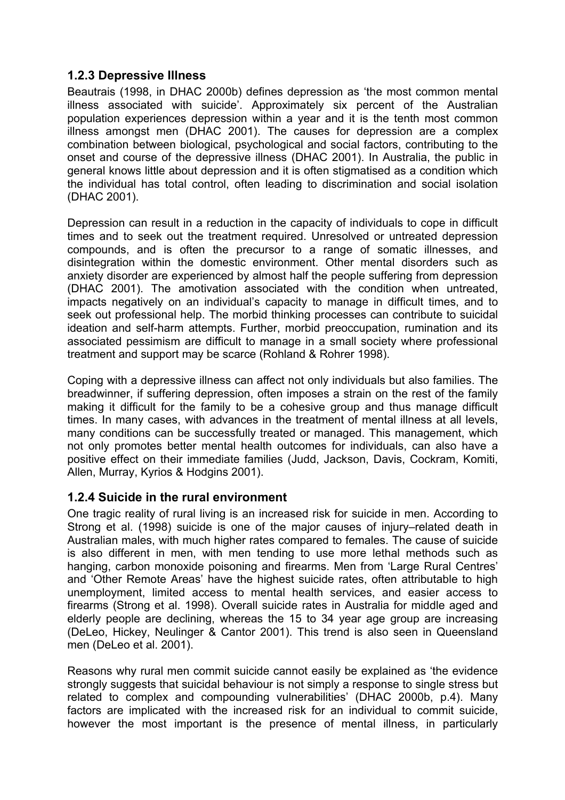#### <span id="page-8-0"></span>**1.2.3 Depressive Illness**

Beautrais (1998, in DHAC 2000b) defines depression as 'the most common mental illness associated with suicide'. Approximately six percent of the Australian population experiences depression within a year and it is the tenth most common illness amongst men (DHAC 2001). The causes for depression are a complex combination between biological, psychological and social factors, contributing to the onset and course of the depressive illness (DHAC 2001). In Australia, the public in general knows little about depression and it is often stigmatised as a condition which the individual has total control, often leading to discrimination and social isolation (DHAC 2001).

Depression can result in a reduction in the capacity of individuals to cope in difficult times and to seek out the treatment required. Unresolved or untreated depression compounds, and is often the precursor to a range of somatic illnesses, and disintegration within the domestic environment. Other mental disorders such as anxiety disorder are experienced by almost half the people suffering from depression (DHAC 2001). The amotivation associated with the condition when untreated, impacts negatively on an individual's capacity to manage in difficult times, and to seek out professional help. The morbid thinking processes can contribute to suicidal ideation and self-harm attempts. Further, morbid preoccupation, rumination and its associated pessimism are difficult to manage in a small society where professional treatment and support may be scarce (Rohland & Rohrer 1998).

Coping with a depressive illness can affect not only individuals but also families. The breadwinner, if suffering depression, often imposes a strain on the rest of the family making it difficult for the family to be a cohesive group and thus manage difficult times. In many cases, with advances in the treatment of mental illness at all levels, many conditions can be successfully treated or managed. This management, which not only promotes better mental health outcomes for individuals, can also have a positive effect on their immediate families (Judd, Jackson, Davis, Cockram, Komiti, Allen, Murray, Kyrios & Hodgins 2001).

#### **1.2.4 Suicide in the rural environment**

One tragic reality of rural living is an increased risk for suicide in men. According to Strong et al. (1998) suicide is one of the major causes of injury–related death in Australian males, with much higher rates compared to females. The cause of suicide is also different in men, with men tending to use more lethal methods such as hanging, carbon monoxide poisoning and firearms. Men from 'Large Rural Centres' and 'Other Remote Areas' have the highest suicide rates, often attributable to high unemployment, limited access to mental health services, and easier access to firearms (Strong et al. 1998). Overall suicide rates in Australia for middle aged and elderly people are declining, whereas the 15 to 34 year age group are increasing (DeLeo, Hickey, Neulinger & Cantor 2001). This trend is also seen in Queensland men (DeLeo et al. 2001).

Reasons why rural men commit suicide cannot easily be explained as 'the evidence strongly suggests that suicidal behaviour is not simply a response to single stress but related to complex and compounding vulnerabilities' (DHAC 2000b, p.4). Many factors are implicated with the increased risk for an individual to commit suicide, however the most important is the presence of mental illness, in particularly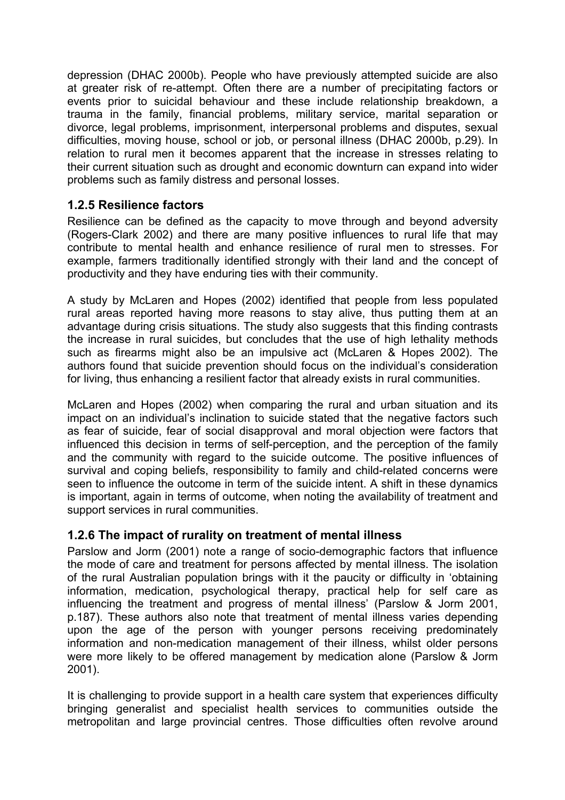<span id="page-9-0"></span>depression (DHAC 2000b). People who have previously attempted suicide are also at greater risk of re-attempt. Often there are a number of precipitating factors or events prior to suicidal behaviour and these include relationship breakdown, a trauma in the family, financial problems, military service, marital separation or divorce, legal problems, imprisonment, interpersonal problems and disputes, sexual difficulties, moving house, school or job, or personal illness (DHAC 2000b, p.29). In relation to rural men it becomes apparent that the increase in stresses relating to their current situation such as drought and economic downturn can expand into wider problems such as family distress and personal losses.

#### **1.2.5 Resilience factors**

Resilience can be defined as the capacity to move through and beyond adversity (Rogers-Clark 2002) and there are many positive influences to rural life that may contribute to mental health and enhance resilience of rural men to stresses. For example, farmers traditionally identified strongly with their land and the concept of productivity and they have enduring ties with their community.

A study by McLaren and Hopes (2002) identified that people from less populated rural areas reported having more reasons to stay alive, thus putting them at an advantage during crisis situations. The study also suggests that this finding contrasts the increase in rural suicides, but concludes that the use of high lethality methods such as firearms might also be an impulsive act (McLaren & Hopes 2002). The authors found that suicide prevention should focus on the individual's consideration for living, thus enhancing a resilient factor that already exists in rural communities.

McLaren and Hopes (2002) when comparing the rural and urban situation and its impact on an individual's inclination to suicide stated that the negative factors such as fear of suicide, fear of social disapproval and moral objection were factors that influenced this decision in terms of self-perception, and the perception of the family and the community with regard to the suicide outcome. The positive influences of survival and coping beliefs, responsibility to family and child-related concerns were seen to influence the outcome in term of the suicide intent. A shift in these dynamics is important, again in terms of outcome, when noting the availability of treatment and support services in rural communities.

#### **1.2.6 The impact of rurality on treatment of mental illness**

Parslow and Jorm (2001) note a range of socio-demographic factors that influence the mode of care and treatment for persons affected by mental illness. The isolation of the rural Australian population brings with it the paucity or difficulty in 'obtaining information, medication, psychological therapy, practical help for self care as influencing the treatment and progress of mental illness' (Parslow & Jorm 2001, p.187). These authors also note that treatment of mental illness varies depending upon the age of the person with younger persons receiving predominately information and non-medication management of their illness, whilst older persons were more likely to be offered management by medication alone (Parslow & Jorm 2001).

It is challenging to provide support in a health care system that experiences difficulty bringing generalist and specialist health services to communities outside the metropolitan and large provincial centres. Those difficulties often revolve around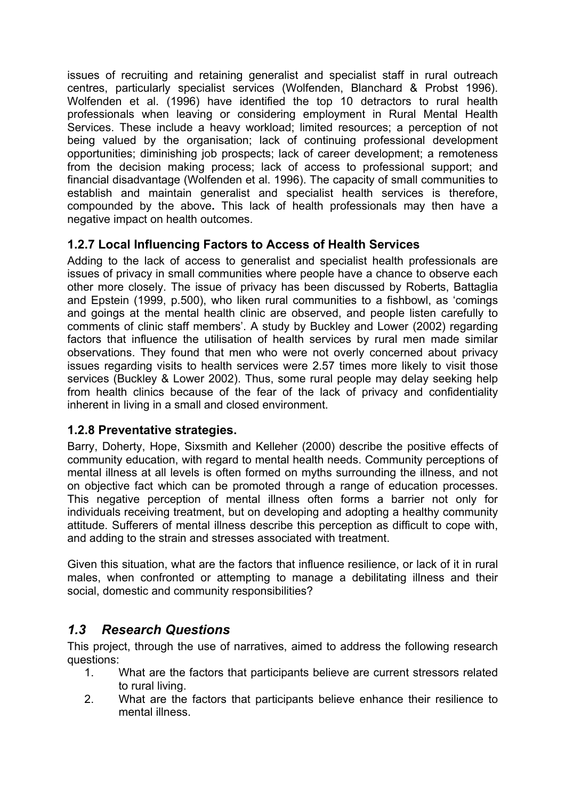<span id="page-10-0"></span>issues of recruiting and retaining generalist and specialist staff in rural outreach centres, particularly specialist services (Wolfenden, Blanchard & Probst 1996). Wolfenden et al. (1996) have identified the top 10 detractors to rural health professionals when leaving or considering employment in Rural Mental Health Services. These include a heavy workload; limited resources; a perception of not being valued by the organisation; lack of continuing professional development opportunities; diminishing job prospects; lack of career development; a remoteness from the decision making process; lack of access to professional support; and financial disadvantage (Wolfenden et al. 1996). The capacity of small communities to establish and maintain generalist and specialist health services is therefore, compounded by the above**.** This lack of health professionals may then have a negative impact on health outcomes.

### **1.2.7 Local Influencing Factors to Access of Health Services**

Adding to the lack of access to generalist and specialist health professionals are issues of privacy in small communities where people have a chance to observe each other more closely. The issue of privacy has been discussed by Roberts, Battaglia and Epstein (1999, p.500), who liken rural communities to a fishbowl, as 'comings and goings at the mental health clinic are observed, and people listen carefully to comments of clinic staff members'. A study by Buckley and Lower (2002) regarding factors that influence the utilisation of health services by rural men made similar observations. They found that men who were not overly concerned about privacy issues regarding visits to health services were 2.57 times more likely to visit those services (Buckley & Lower 2002). Thus, some rural people may delay seeking help from health clinics because of the fear of the lack of privacy and confidentiality inherent in living in a small and closed environment.

#### **1.2.8 Preventative strategies.**

Barry, Doherty, Hope, Sixsmith and Kelleher (2000) describe the positive effects of community education, with regard to mental health needs. Community perceptions of mental illness at all levels is often formed on myths surrounding the illness, and not on objective fact which can be promoted through a range of education processes. This negative perception of mental illness often forms a barrier not only for individuals receiving treatment, but on developing and adopting a healthy community attitude. Sufferers of mental illness describe this perception as difficult to cope with, and adding to the strain and stresses associated with treatment.

Given this situation, what are the factors that influence resilience, or lack of it in rural males, when confronted or attempting to manage a debilitating illness and their social, domestic and community responsibilities?

### *1.3 Research Questions*

This project, through the use of narratives, aimed to address the following research questions:

- 1. What are the factors that participants believe are current stressors related to rural living.
- 2. What are the factors that participants believe enhance their resilience to mental illness.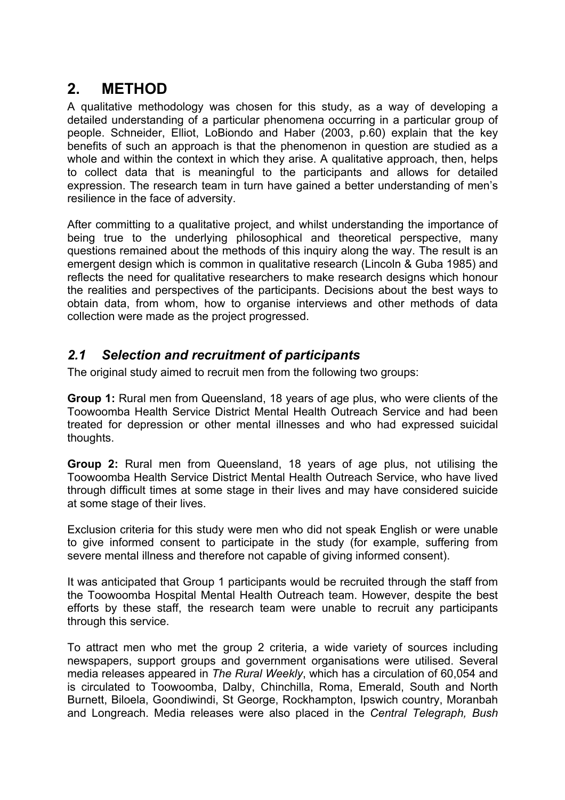# <span id="page-11-0"></span>**2. METHOD**

A qualitative methodology was chosen for this study, as a way of developing a detailed understanding of a particular phenomena occurring in a particular group of people. Schneider, Elliot, LoBiondo and Haber (2003, p.60) explain that the key benefits of such an approach is that the phenomenon in question are studied as a whole and within the context in which they arise. A qualitative approach, then, helps to collect data that is meaningful to the participants and allows for detailed expression. The research team in turn have gained a better understanding of men's resilience in the face of adversity.

After committing to a qualitative project, and whilst understanding the importance of being true to the underlying philosophical and theoretical perspective, many questions remained about the methods of this inquiry along the way. The result is an emergent design which is common in qualitative research (Lincoln & Guba 1985) and reflects the need for qualitative researchers to make research designs which honour the realities and perspectives of the participants. Decisions about the best ways to obtain data, from whom, how to organise interviews and other methods of data collection were made as the project progressed.

### *2.1 Selection and recruitment of participants*

The original study aimed to recruit men from the following two groups:

**Group 1:** Rural men from Queensland, 18 years of age plus, who were clients of the Toowoomba Health Service District Mental Health Outreach Service and had been treated for depression or other mental illnesses and who had expressed suicidal thoughts.

**Group 2:** Rural men from Queensland, 18 years of age plus, not utilising the Toowoomba Health Service District Mental Health Outreach Service, who have lived through difficult times at some stage in their lives and may have considered suicide at some stage of their lives.

Exclusion criteria for this study were men who did not speak English or were unable to give informed consent to participate in the study (for example, suffering from severe mental illness and therefore not capable of giving informed consent).

It was anticipated that Group 1 participants would be recruited through the staff from the Toowoomba Hospital Mental Health Outreach team. However, despite the best efforts by these staff, the research team were unable to recruit any participants through this service.

To attract men who met the group 2 criteria, a wide variety of sources including newspapers, support groups and government organisations were utilised. Several media releases appeared in *The Rural Weekly*, which has a circulation of 60,054 and is circulated to Toowoomba, Dalby, Chinchilla, Roma, Emerald, South and North Burnett, Biloela, Goondiwindi, St George, Rockhampton, Ipswich country, Moranbah and Longreach. Media releases were also placed in the *Central Telegraph, Bush*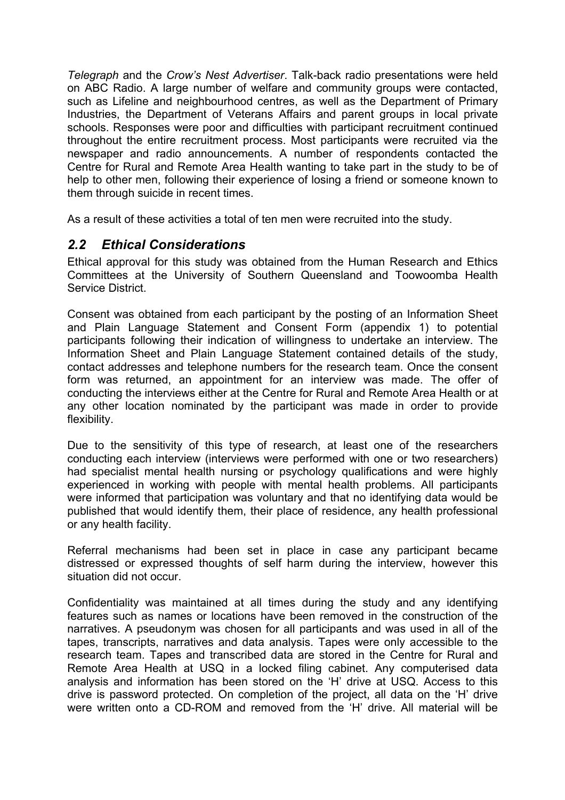<span id="page-12-0"></span>*Telegraph* and the *Crow's Nest Advertiser*. Talk-back radio presentations were held on ABC Radio. A large number of welfare and community groups were contacted, such as Lifeline and neighbourhood centres, as well as the Department of Primary Industries, the Department of Veterans Affairs and parent groups in local private schools. Responses were poor and difficulties with participant recruitment continued throughout the entire recruitment process. Most participants were recruited via the newspaper and radio announcements. A number of respondents contacted the Centre for Rural and Remote Area Health wanting to take part in the study to be of help to other men, following their experience of losing a friend or someone known to them through suicide in recent times.

As a result of these activities a total of ten men were recruited into the study.

#### *2.2 Ethical Considerations*

Ethical approval for this study was obtained from the Human Research and Ethics Committees at the University of Southern Queensland and Toowoomba Health Service District.

Consent was obtained from each participant by the posting of an Information Sheet and Plain Language Statement and Consent Form (appendix 1) to potential participants following their indication of willingness to undertake an interview. The Information Sheet and Plain Language Statement contained details of the study, contact addresses and telephone numbers for the research team. Once the consent form was returned, an appointment for an interview was made. The offer of conducting the interviews either at the Centre for Rural and Remote Area Health or at any other location nominated by the participant was made in order to provide flexibility.

Due to the sensitivity of this type of research, at least one of the researchers conducting each interview (interviews were performed with one or two researchers) had specialist mental health nursing or psychology qualifications and were highly experienced in working with people with mental health problems. All participants were informed that participation was voluntary and that no identifying data would be published that would identify them, their place of residence, any health professional or any health facility.

Referral mechanisms had been set in place in case any participant became distressed or expressed thoughts of self harm during the interview, however this situation did not occur.

Confidentiality was maintained at all times during the study and any identifying features such as names or locations have been removed in the construction of the narratives. A pseudonym was chosen for all participants and was used in all of the tapes, transcripts, narratives and data analysis. Tapes were only accessible to the research team. Tapes and transcribed data are stored in the Centre for Rural and Remote Area Health at USQ in a locked filing cabinet. Any computerised data analysis and information has been stored on the 'H' drive at USQ. Access to this drive is password protected. On completion of the project, all data on the 'H' drive were written onto a CD-ROM and removed from the 'H' drive. All material will be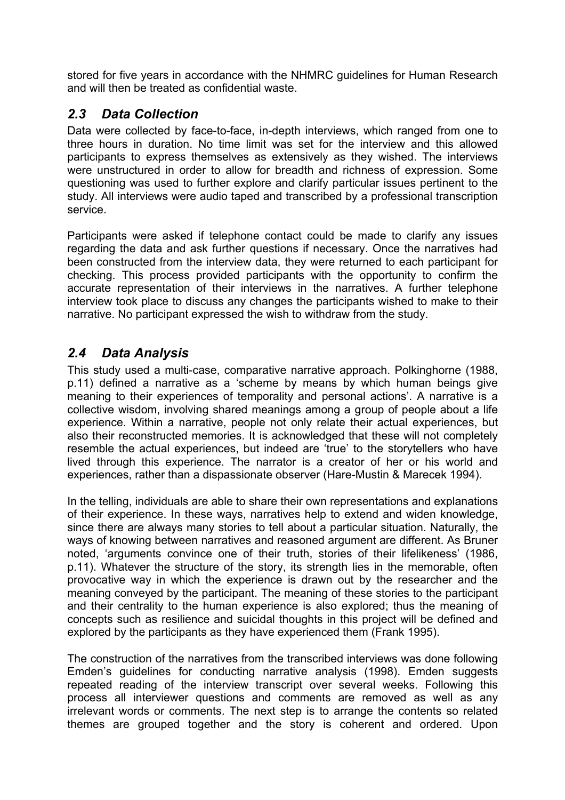<span id="page-13-0"></span>stored for five years in accordance with the NHMRC guidelines for Human Research and will then be treated as confidential waste.

### *2.3 Data Collection*

Data were collected by face-to-face, in-depth interviews, which ranged from one to three hours in duration. No time limit was set for the interview and this allowed participants to express themselves as extensively as they wished. The interviews were unstructured in order to allow for breadth and richness of expression. Some questioning was used to further explore and clarify particular issues pertinent to the study. All interviews were audio taped and transcribed by a professional transcription service.

Participants were asked if telephone contact could be made to clarify any issues regarding the data and ask further questions if necessary. Once the narratives had been constructed from the interview data, they were returned to each participant for checking. This process provided participants with the opportunity to confirm the accurate representation of their interviews in the narratives. A further telephone interview took place to discuss any changes the participants wished to make to their narrative. No participant expressed the wish to withdraw from the study.

### *2.4 Data Analysis*

This study used a multi-case, comparative narrative approach. Polkinghorne (1988, p.11) defined a narrative as a 'scheme by means by which human beings give meaning to their experiences of temporality and personal actions'. A narrative is a collective wisdom, involving shared meanings among a group of people about a life experience. Within a narrative, people not only relate their actual experiences, but also their reconstructed memories. It is acknowledged that these will not completely resemble the actual experiences, but indeed are 'true' to the storytellers who have lived through this experience. The narrator is a creator of her or his world and experiences, rather than a dispassionate observer (Hare-Mustin & Marecek 1994).

In the telling, individuals are able to share their own representations and explanations of their experience. In these ways, narratives help to extend and widen knowledge, since there are always many stories to tell about a particular situation. Naturally, the ways of knowing between narratives and reasoned argument are different. As Bruner noted, 'arguments convince one of their truth, stories of their lifelikeness' (1986, p.11). Whatever the structure of the story, its strength lies in the memorable, often provocative way in which the experience is drawn out by the researcher and the meaning conveyed by the participant. The meaning of these stories to the participant and their centrality to the human experience is also explored; thus the meaning of concepts such as resilience and suicidal thoughts in this project will be defined and explored by the participants as they have experienced them (Frank 1995).

The construction of the narratives from the transcribed interviews was done following Emden's guidelines for conducting narrative analysis (1998). Emden suggests repeated reading of the interview transcript over several weeks. Following this process all interviewer questions and comments are removed as well as any irrelevant words or comments. The next step is to arrange the contents so related themes are grouped together and the story is coherent and ordered. Upon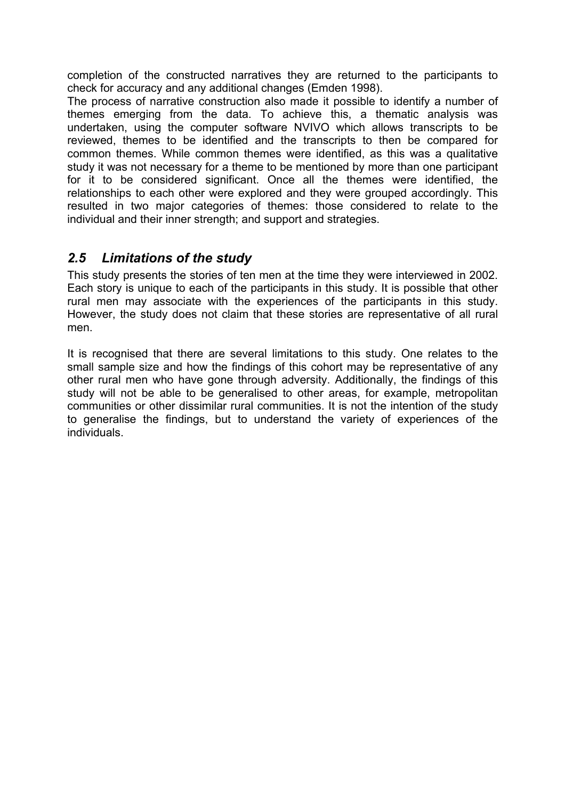<span id="page-14-0"></span>completion of the constructed narratives they are returned to the participants to check for accuracy and any additional changes (Emden 1998).

The process of narrative construction also made it possible to identify a number of themes emerging from the data. To achieve this, a thematic analysis was undertaken, using the computer software NVIVO which allows transcripts to be reviewed, themes to be identified and the transcripts to then be compared for common themes. While common themes were identified, as this was a qualitative study it was not necessary for a theme to be mentioned by more than one participant for it to be considered significant. Once all the themes were identified, the relationships to each other were explored and they were grouped accordingly. This resulted in two major categories of themes: those considered to relate to the individual and their inner strength; and support and strategies.

#### *2.5 Limitations of the study*

This study presents the stories of ten men at the time they were interviewed in 2002. Each story is unique to each of the participants in this study. It is possible that other rural men may associate with the experiences of the participants in this study. However, the study does not claim that these stories are representative of all rural men.

It is recognised that there are several limitations to this study. One relates to the small sample size and how the findings of this cohort may be representative of any other rural men who have gone through adversity. Additionally, the findings of this study will not be able to be generalised to other areas, for example, metropolitan communities or other dissimilar rural communities. It is not the intention of the study to generalise the findings, but to understand the variety of experiences of the individuals.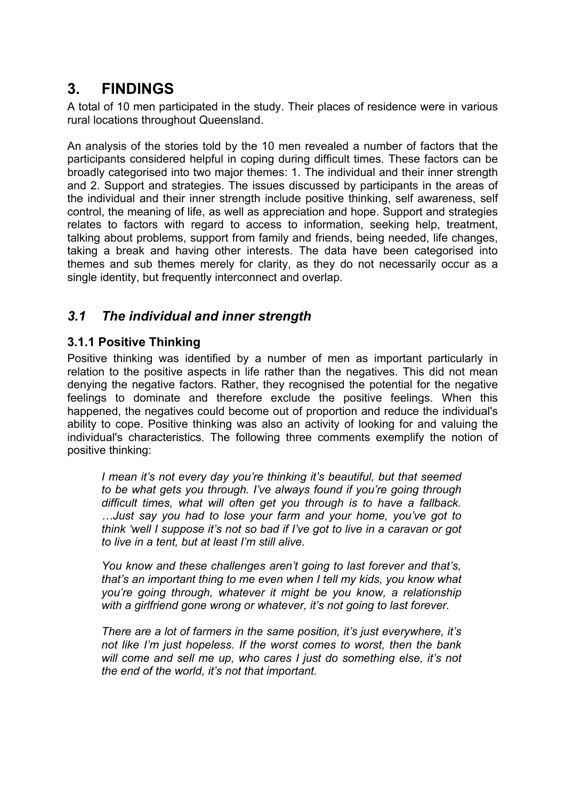# <span id="page-15-0"></span>**3. FINDINGS**

A total of 10 men participated in the study. Their places of residence were in various rural locations throughout Queensland.

An analysis of the stories told by the 10 men revealed a number of factors that the participants considered helpful in coping during difficult times. These factors can be broadly categorised into two major themes: 1. The individual and their inner strength and 2. Support and strategies. The issues discussed by participants in the areas of the individual and their inner strength include positive thinking, self awareness, self control, the meaning of life, as well as appreciation and hope. Support and strategies relates to factors with regard to access to information, seeking help, treatment, talking about problems, support from family and friends, being needed, life changes, taking a break and having other interests. The data have been categorised into themes and sub themes merely for clarity, as they do not necessarily occur as a single identity, but frequently interconnect and overlap.

### *3.1 The individual and inner strength*

#### **3.1.1 Positive Thinking**

Positive thinking was identified by a number of men as important particularly in relation to the positive aspects in life rather than the negatives. This did not mean denying the negative factors. Rather, they recognised the potential for the negative feelings to dominate and therefore exclude the positive feelings. When this happened, the negatives could become out of proportion and reduce the individual's ability to cope. Positive thinking was also an activity of looking for and valuing the individual's characteristics. The following three comments exemplify the notion of positive thinking:

*I mean it's not every day you're thinking it's beautiful, but that seemed to be what gets you through. I've always found if you're going through difficult times, what will often get you through is to have a fallback. …Just say you had to lose your farm and your home, you've got to think 'well I suppose it's not so bad if I've got to live in a caravan or got to live in a tent, but at least I'm still alive.*

*You know and these challenges aren't going to last forever and that's, that's an important thing to me even when I tell my kids, you know what you're going through, whatever it might be you know, a relationship with a girlfriend gone wrong or whatever, it's not going to last forever.* 

*There are a lot of farmers in the same position, it's just everywhere, it's not like I'm just hopeless. If the worst comes to worst, then the bank will come and sell me up, who cares I just do something else, it's not the end of the world, it's not that important.*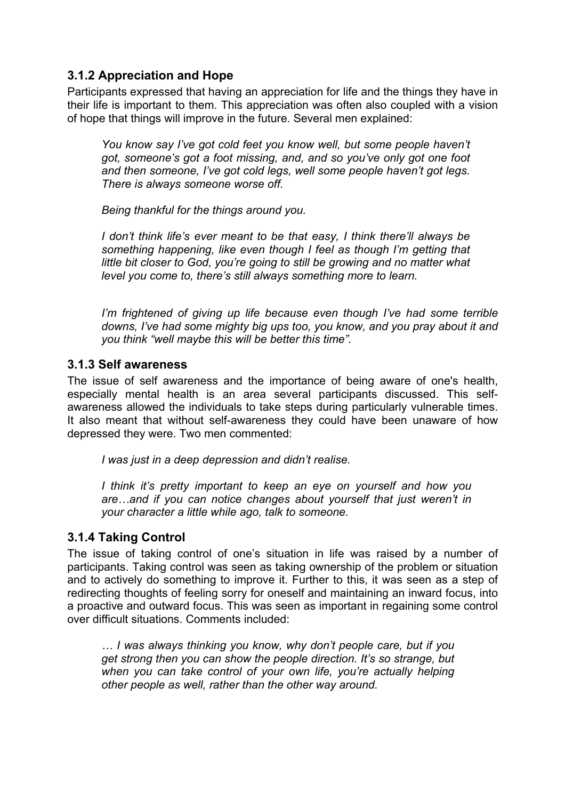#### <span id="page-16-0"></span>**3.1.2 Appreciation and Hope**

Participants expressed that having an appreciation for life and the things they have in their life is important to them. This appreciation was often also coupled with a vision of hope that things will improve in the future. Several men explained:

*You know say I've got cold feet you know well, but some people haven't got, someone's got a foot missing, and, and so you've only got one foot and then someone, I've got cold legs, well some people haven't got legs. There is always someone worse off.* 

*Being thankful for the things around you.* 

*I don't think life's ever meant to be that easy, I think there'll always be something happening, like even though I feel as though I'm getting that little bit closer to God, you're going to still be growing and no matter what level you come to, there's still always something more to learn.* 

I'm frightened of giving up life because even though I've had some terrible *downs, I've had some mighty big ups too, you know, and you pray about it and you think "well maybe this will be better this time".* 

#### **3.1.3 Self awareness**

The issue of self awareness and the importance of being aware of one's health, especially mental health is an area several participants discussed. This selfawareness allowed the individuals to take steps during particularly vulnerable times. It also meant that without self-awareness they could have been unaware of how depressed they were. Two men commented:

*I was just in a deep depression and didn't realise.* 

*I think it's pretty important to keep an eye on yourself and how you are…and if you can notice changes about yourself that just weren't in your character a little while ago, talk to someone.*

#### **3.1.4 Taking Control**

The issue of taking control of one's situation in life was raised by a number of participants. Taking control was seen as taking ownership of the problem or situation and to actively do something to improve it. Further to this, it was seen as a step of redirecting thoughts of feeling sorry for oneself and maintaining an inward focus, into a proactive and outward focus. This was seen as important in regaining some control over difficult situations. Comments included:

*… I was always thinking you know, why don't people care, but if you get strong then you can show the people direction. It's so strange, but when you can take control of your own life, you're actually helping other people as well, rather than the other way around.*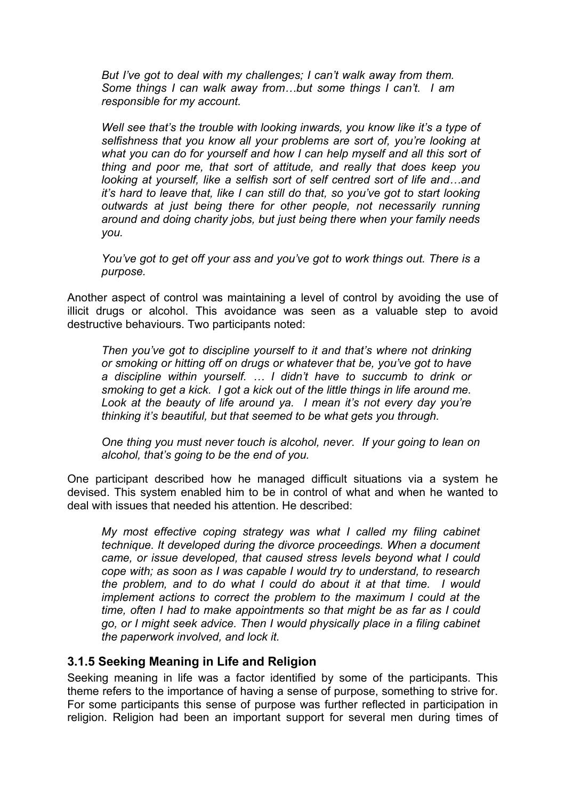<span id="page-17-0"></span>*But I've got to deal with my challenges; I can't walk away from them. Some things I can walk away from…but some things I can't. I am responsible for my account.* 

*Well see that's the trouble with looking inwards, you know like it's a type of selfishness that you know all your problems are sort of, you're looking at what you can do for yourself and how I can help myself and all this sort of thing and poor me, that sort of attitude, and really that does keep you looking at yourself, like a selfish sort of self centred sort of life and...and it's hard to leave that, like I can still do that, so you've got to start looking outwards at just being there for other people, not necessarily running around and doing charity jobs, but just being there when your family needs you.* 

*You've got to get off your ass and you've got to work things out. There is a purpose.* 

Another aspect of control was maintaining a level of control by avoiding the use of illicit drugs or alcohol. This avoidance was seen as a valuable step to avoid destructive behaviours. Two participants noted:

*Then you've got to discipline yourself to it and that's where not drinking or smoking or hitting off on drugs or whatever that be, you've got to have a discipline within yourself. … I didn't have to succumb to drink or smoking to get a kick. I got a kick out of the little things in life around me. Look at the beauty of life around ya. I mean it's not every day you're thinking it's beautiful, but that seemed to be what gets you through.* 

*One thing you must never touch is alcohol, never. If your going to lean on alcohol, that's going to be the end of you.* 

One participant described how he managed difficult situations via a system he devised. This system enabled him to be in control of what and when he wanted to deal with issues that needed his attention. He described:

*My most effective coping strategy was what I called my filing cabinet technique. It developed during the divorce proceedings. When a document came, or issue developed, that caused stress levels beyond what I could cope with; as soon as I was capable I would try to understand, to research the problem, and to do what I could do about it at that time. I would implement actions to correct the problem to the maximum I could at the time, often I had to make appointments so that might be as far as I could go, or I might seek advice. Then I would physically place in a filing cabinet the paperwork involved, and lock it.* 

#### **3.1.5 Seeking Meaning in Life and Religion**

Seeking meaning in life was a factor identified by some of the participants. This theme refers to the importance of having a sense of purpose, something to strive for. For some participants this sense of purpose was further reflected in participation in religion. Religion had been an important support for several men during times of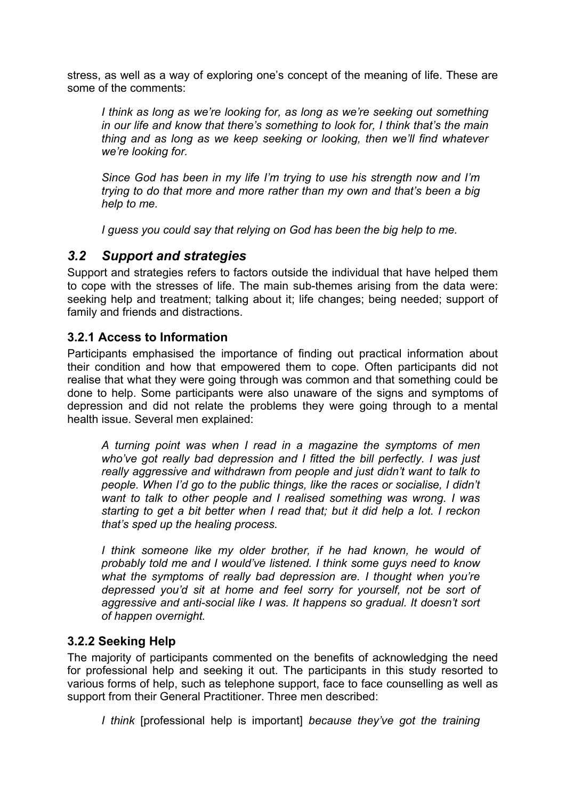<span id="page-18-0"></span>stress, as well as a way of exploring one's concept of the meaning of life. These are some of the comments:

*I think as long as we're looking for, as long as we're seeking out something in our life and know that there's something to look for, I think that's the main thing and as long as we keep seeking or looking, then we'll find whatever we're looking for.* 

*Since God has been in my life I'm trying to use his strength now and I'm trying to do that more and more rather than my own and that's been a big help to me.* 

*I guess you could say that relying on God has been the big help to me.* 

#### *3.2 Support and strategies*

Support and strategies refers to factors outside the individual that have helped them to cope with the stresses of life. The main sub-themes arising from the data were: seeking help and treatment; talking about it; life changes; being needed; support of family and friends and distractions.

#### **3.2.1 Access to Information**

Participants emphasised the importance of finding out practical information about their condition and how that empowered them to cope. Often participants did not realise that what they were going through was common and that something could be done to help. Some participants were also unaware of the signs and symptoms of depression and did not relate the problems they were going through to a mental health issue. Several men explained:

*A turning point was when I read in a magazine the symptoms of men who've got really bad depression and I fitted the bill perfectly. I was just really aggressive and withdrawn from people and just didn't want to talk to people. When I'd go to the public things, like the races or socialise, I didn't want to talk to other people and I realised something was wrong. I was starting to get a bit better when I read that; but it did help a lot. I reckon that's sped up the healing process.*

*I think someone like my older brother, if he had known, he would of probably told me and I would've listened. I think some guys need to know what the symptoms of really bad depression are. I thought when you're depressed you'd sit at home and feel sorry for yourself, not be sort of aggressive and anti-social like I was. It happens so gradual. It doesn't sort of happen overnight.* 

#### **3.2.2 Seeking Help**

The majority of participants commented on the benefits of acknowledging the need for professional help and seeking it out. The participants in this study resorted to various forms of help, such as telephone support, face to face counselling as well as support from their General Practitioner. Three men described:

*I think* [professional help is important] *because they've got the training*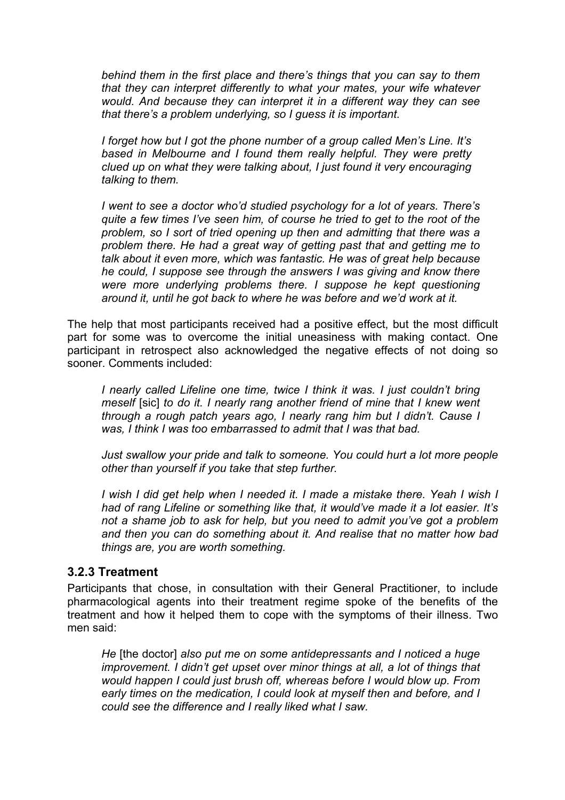<span id="page-19-0"></span>*behind them in the first place and there's things that you can say to them that they can interpret differently to what your mates, your wife whatever would. And because they can interpret it in a different way they can see that there's a problem underlying, so I guess it is important.* 

*I forget how but I got the phone number of a group called Men's Line. It's based in Melbourne and I found them really helpful. They were pretty clued up on what they were talking about, I just found it very encouraging talking to them.* 

*I went to see a doctor who'd studied psychology for a lot of years. There's quite a few times I've seen him, of course he tried to get to the root of the problem, so I sort of tried opening up then and admitting that there was a problem there. He had a great way of getting past that and getting me to talk about it even more, which was fantastic. He was of great help because he could, I suppose see through the answers I was giving and know there were more underlying problems there. I suppose he kept questioning around it, until he got back to where he was before and we'd work at it.*

The help that most participants received had a positive effect, but the most difficult part for some was to overcome the initial uneasiness with making contact. One participant in retrospect also acknowledged the negative effects of not doing so sooner. Comments included:

*I* nearly called Lifeline one time, twice I think it was. I just couldn't bring *meself* [sic] *to do it. I nearly rang another friend of mine that I knew went through a rough patch years ago, I nearly rang him but I didn't. Cause I was, I think I was too embarrassed to admit that I was that bad.*

*Just swallow your pride and talk to someone. You could hurt a lot more people other than yourself if you take that step further.* 

*I* wish *I did get help when I needed it. I made a mistake there. Yeah I wish I had of rang Lifeline or something like that, it would've made it a lot easier. It's not a shame job to ask for help, but you need to admit you've got a problem and then you can do something about it. And realise that no matter how bad things are, you are worth something.* 

#### **3.2.3 Treatment**

Participants that chose, in consultation with their General Practitioner, to include pharmacological agents into their treatment regime spoke of the benefits of the treatment and how it helped them to cope with the symptoms of their illness. Two men said:

*He* [the doctor] *also put me on some antidepressants and I noticed a huge improvement. I didn't get upset over minor things at all, a lot of things that would happen I could just brush off, whereas before I would blow up. From early times on the medication, I could look at myself then and before, and I could see the difference and I really liked what I saw.*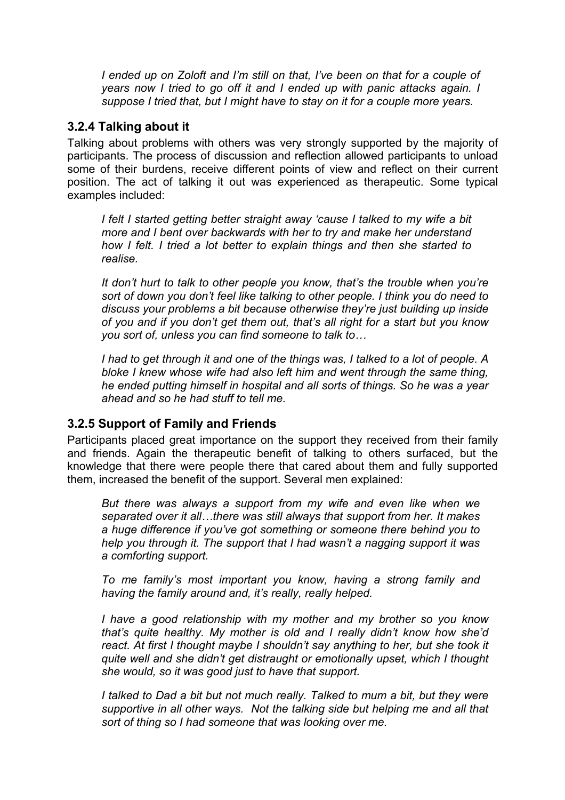<span id="page-20-0"></span>*I ended up on Zoloft and I'm still on that, I've been on that for a couple of years now I tried to go off it and I ended up with panic attacks again. I suppose I tried that, but I might have to stay on it for a couple more years.* 

#### **3.2.4 Talking about it**

Talking about problems with others was very strongly supported by the majority of participants. The process of discussion and reflection allowed participants to unload some of their burdens, receive different points of view and reflect on their current position. The act of talking it out was experienced as therapeutic. Some typical examples included:

*I felt I started getting better straight away 'cause I talked to my wife a bit more and I bent over backwards with her to try and make her understand how I felt. I tried a lot better to explain things and then she started to realise.* 

*It don't hurt to talk to other people you know, that's the trouble when you're sort of down you don't feel like talking to other people. I think you do need to discuss your problems a bit because otherwise they're just building up inside of you and if you don't get them out, that's all right for a start but you know you sort of, unless you can find someone to talk to…*

*I had to get through it and one of the things was, I talked to a lot of people. A bloke I knew whose wife had also left him and went through the same thing, he ended putting himself in hospital and all sorts of things. So he was a year ahead and so he had stuff to tell me.* 

#### **3.2.5 Support of Family and Friends**

Participants placed great importance on the support they received from their family and friends. Again the therapeutic benefit of talking to others surfaced, but the knowledge that there were people there that cared about them and fully supported them, increased the benefit of the support. Several men explained:

*But there was always a support from my wife and even like when we separated over it all…there was still always that support from her. It makes a huge difference if you've got something or someone there behind you to help you through it. The support that I had wasn't a nagging support it was a comforting support.* 

*To me family's most important you know, having a strong family and having the family around and, it's really, really helped.* 

*I have a good relationship with my mother and my brother so you know that's quite healthy. My mother is old and I really didn't know how she'd react. At first I thought maybe I shouldn't say anything to her, but she took it quite well and she didn't get distraught or emotionally upset, which I thought she would, so it was good just to have that support.*

*I talked to Dad a bit but not much really. Talked to mum a bit, but they were supportive in all other ways. Not the talking side but helping me and all that sort of thing so I had someone that was looking over me.*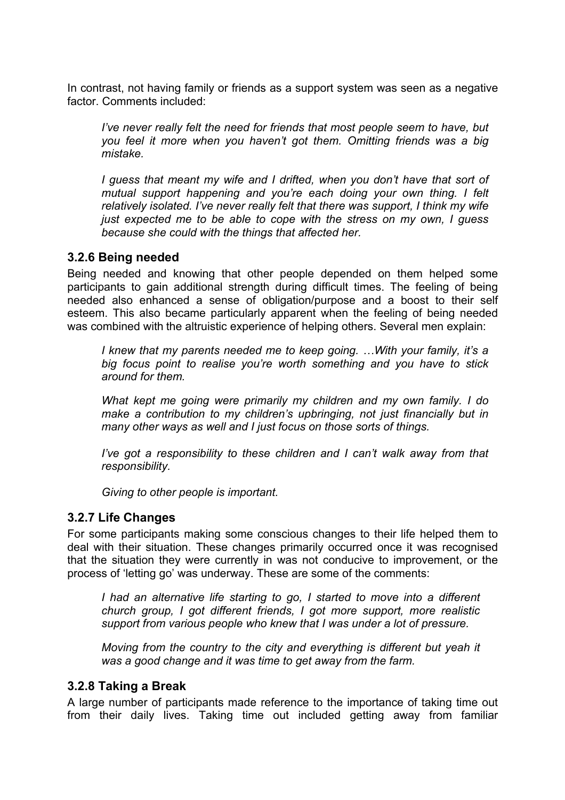<span id="page-21-0"></span>In contrast, not having family or friends as a support system was seen as a negative factor. Comments included:

*I've never really felt the need for friends that most people seem to have, but you feel it more when you haven't got them. Omitting friends was a big mistake.* 

I guess that meant my wife and I drifted, when you don't have that sort of *mutual support happening and you're each doing your own thing. I felt relatively isolated. I've never really felt that there was support, I think my wife just expected me to be able to cope with the stress on my own, I guess because she could with the things that affected her.* 

#### **3.2.6 Being needed**

Being needed and knowing that other people depended on them helped some participants to gain additional strength during difficult times. The feeling of being needed also enhanced a sense of obligation/purpose and a boost to their self esteem. This also became particularly apparent when the feeling of being needed was combined with the altruistic experience of helping others. Several men explain:

*I knew that my parents needed me to keep going. …With your family, it's a big focus point to realise you're worth something and you have to stick around for them.* 

*What kept me going were primarily my children and my own family. I do make a contribution to my children's upbringing, not just financially but in many other ways as well and I just focus on those sorts of things.* 

*I've got a responsibility to these children and I can't walk away from that responsibility.* 

*Giving to other people is important.* 

#### **3.2.7 Life Changes**

For some participants making some conscious changes to their life helped them to deal with their situation. These changes primarily occurred once it was recognised that the situation they were currently in was not conducive to improvement, or the process of 'letting go' was underway. These are some of the comments:

*I had an alternative life starting to go, I started to move into a different church group, I got different friends, I got more support, more realistic support from various people who knew that I was under a lot of pressure.* 

*Moving from the country to the city and everything is different but yeah it was a good change and it was time to get away from the farm.*

#### **3.2.8 Taking a Break**

A large number of participants made reference to the importance of taking time out from their daily lives. Taking time out included getting away from familiar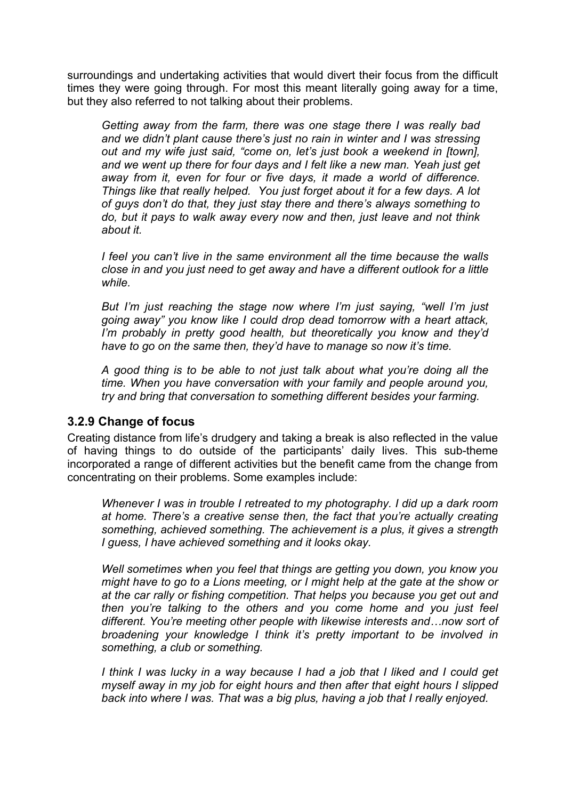<span id="page-22-0"></span>surroundings and undertaking activities that would divert their focus from the difficult times they were going through. For most this meant literally going away for a time, but they also referred to not talking about their problems.

*Getting away from the farm, there was one stage there I was really bad and we didn't plant cause there's just no rain in winter and I was stressing out and my wife just said, "come on, let's just book a weekend in [town],*  and we went up there for four days and I felt like a new man. Yeah just get *away from it, even for four or five days, it made a world of difference. Things like that really helped. You just forget about it for a few days. A lot of guys don't do that, they just stay there and there's always something to do, but it pays to walk away every now and then, just leave and not think about it.* 

*I feel you can't live in the same environment all the time because the walls close in and you just need to get away and have a different outlook for a little while.*

*But I'm just reaching the stage now where I'm just saying, "well I'm just going away" you know like I could drop dead tomorrow with a heart attack, I'm probably in pretty good health, but theoretically you know and they'd have to go on the same then, they'd have to manage so now it's time.*

*A good thing is to be able to not just talk about what you're doing all the time. When you have conversation with your family and people around you, try and bring that conversation to something different besides your farming.* 

#### **3.2.9 Change of focus**

Creating distance from life's drudgery and taking a break is also reflected in the value of having things to do outside of the participants' daily lives. This sub-theme incorporated a range of different activities but the benefit came from the change from concentrating on their problems. Some examples include:

*Whenever I was in trouble I retreated to my photography. I did up a dark room at home. There's a creative sense then, the fact that you're actually creating something, achieved something. The achievement is a plus, it gives a strength I guess, I have achieved something and it looks okay.*

*Well sometimes when you feel that things are getting you down, you know you might have to go to a Lions meeting, or I might help at the gate at the show or at the car rally or fishing competition. That helps you because you get out and then you're talking to the others and you come home and you just feel different. You're meeting other people with likewise interests and…now sort of broadening your knowledge I think it's pretty important to be involved in something, a club or something.* 

I think I was lucky in a way because I had a job that I liked and I could get *myself away in my job for eight hours and then after that eight hours I slipped back into where I was. That was a big plus, having a job that I really enjoyed.*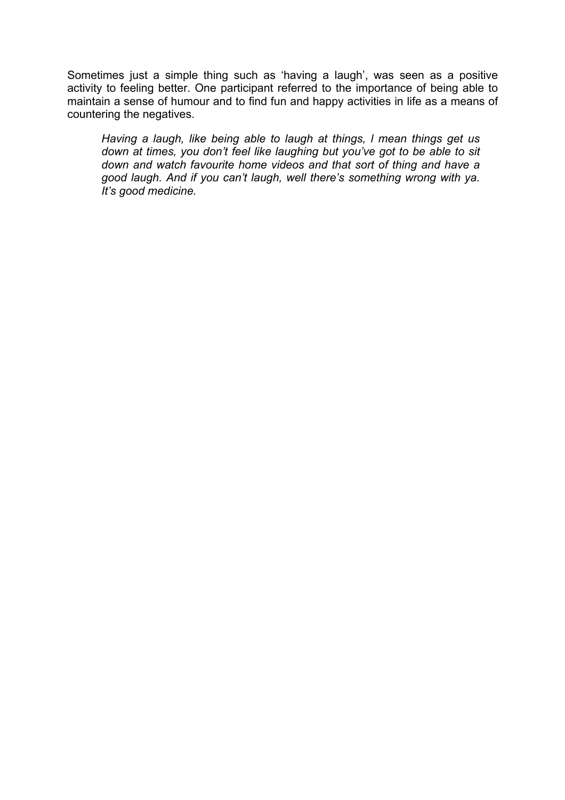Sometimes just a simple thing such as 'having a laugh', was seen as a positive activity to feeling better. One participant referred to the importance of being able to maintain a sense of humour and to find fun and happy activities in life as a means of countering the negatives.

*Having a laugh, like being able to laugh at things, l mean things get us down at times, you don't feel like laughing but you've got to be able to sit down and watch favourite home videos and that sort of thing and have a good laugh. And if you can't laugh, well there's something wrong with ya. It's good medicine.*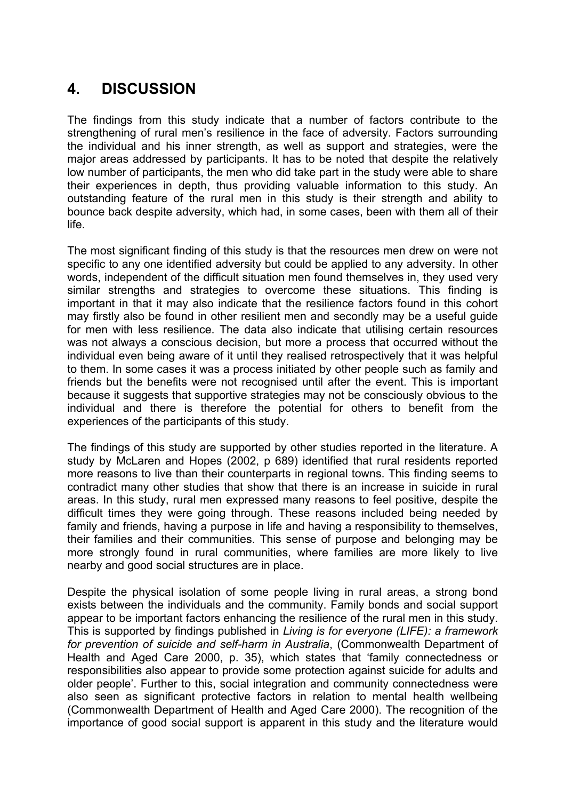# <span id="page-24-0"></span>**4. DISCUSSION**

The findings from this study indicate that a number of factors contribute to the strengthening of rural men's resilience in the face of adversity. Factors surrounding the individual and his inner strength, as well as support and strategies, were the major areas addressed by participants. It has to be noted that despite the relatively low number of participants, the men who did take part in the study were able to share their experiences in depth, thus providing valuable information to this study. An outstanding feature of the rural men in this study is their strength and ability to bounce back despite adversity, which had, in some cases, been with them all of their life.

The most significant finding of this study is that the resources men drew on were not specific to any one identified adversity but could be applied to any adversity. In other words, independent of the difficult situation men found themselves in, they used very similar strengths and strategies to overcome these situations. This finding is important in that it may also indicate that the resilience factors found in this cohort may firstly also be found in other resilient men and secondly may be a useful guide for men with less resilience. The data also indicate that utilising certain resources was not always a conscious decision, but more a process that occurred without the individual even being aware of it until they realised retrospectively that it was helpful to them. In some cases it was a process initiated by other people such as family and friends but the benefits were not recognised until after the event. This is important because it suggests that supportive strategies may not be consciously obvious to the individual and there is therefore the potential for others to benefit from the experiences of the participants of this study.

The findings of this study are supported by other studies reported in the literature. A study by McLaren and Hopes (2002, p 689) identified that rural residents reported more reasons to live than their counterparts in regional towns. This finding seems to contradict many other studies that show that there is an increase in suicide in rural areas. In this study, rural men expressed many reasons to feel positive, despite the difficult times they were going through. These reasons included being needed by family and friends, having a purpose in life and having a responsibility to themselves, their families and their communities. This sense of purpose and belonging may be more strongly found in rural communities, where families are more likely to live nearby and good social structures are in place.

Despite the physical isolation of some people living in rural areas, a strong bond exists between the individuals and the community. Family bonds and social support appear to be important factors enhancing the resilience of the rural men in this study. This is supported by findings published in *Living is for everyone (LIFE): a framework for prevention of suicide and self-harm in Australia*, (Commonwealth Department of Health and Aged Care 2000, p. 35), which states that 'family connectedness or responsibilities also appear to provide some protection against suicide for adults and older people'. Further to this, social integration and community connectedness were also seen as significant protective factors in relation to mental health wellbeing (Commonwealth Department of Health and Aged Care 2000). The recognition of the importance of good social support is apparent in this study and the literature would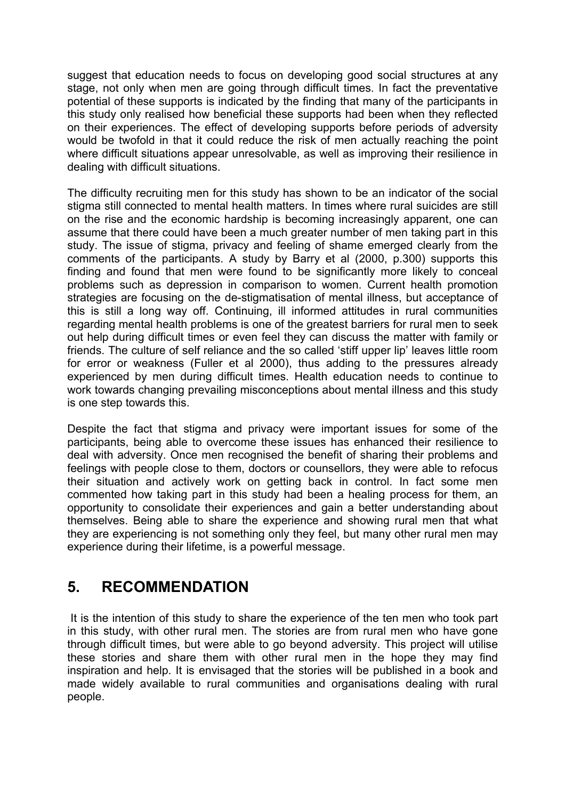<span id="page-25-0"></span>suggest that education needs to focus on developing good social structures at any stage, not only when men are going through difficult times. In fact the preventative potential of these supports is indicated by the finding that many of the participants in this study only realised how beneficial these supports had been when they reflected on their experiences. The effect of developing supports before periods of adversity would be twofold in that it could reduce the risk of men actually reaching the point where difficult situations appear unresolvable, as well as improving their resilience in dealing with difficult situations.

The difficulty recruiting men for this study has shown to be an indicator of the social stigma still connected to mental health matters. In times where rural suicides are still on the rise and the economic hardship is becoming increasingly apparent, one can assume that there could have been a much greater number of men taking part in this study. The issue of stigma, privacy and feeling of shame emerged clearly from the comments of the participants. A study by Barry et al (2000, p.300) supports this finding and found that men were found to be significantly more likely to conceal problems such as depression in comparison to women. Current health promotion strategies are focusing on the de-stigmatisation of mental illness, but acceptance of this is still a long way off. Continuing, ill informed attitudes in rural communities regarding mental health problems is one of the greatest barriers for rural men to seek out help during difficult times or even feel they can discuss the matter with family or friends. The culture of self reliance and the so called 'stiff upper lip' leaves little room for error or weakness (Fuller et al 2000), thus adding to the pressures already experienced by men during difficult times. Health education needs to continue to work towards changing prevailing misconceptions about mental illness and this study is one step towards this.

Despite the fact that stigma and privacy were important issues for some of the participants, being able to overcome these issues has enhanced their resilience to deal with adversity. Once men recognised the benefit of sharing their problems and feelings with people close to them, doctors or counsellors, they were able to refocus their situation and actively work on getting back in control. In fact some men commented how taking part in this study had been a healing process for them, an opportunity to consolidate their experiences and gain a better understanding about themselves. Being able to share the experience and showing rural men that what they are experiencing is not something only they feel, but many other rural men may experience during their lifetime, is a powerful message.

### **5. RECOMMENDATION**

It is the intention of this study to share the experience of the ten men who took part in this study, with other rural men. The stories are from rural men who have gone through difficult times, but were able to go beyond adversity. This project will utilise these stories and share them with other rural men in the hope they may find inspiration and help. It is envisaged that the stories will be published in a book and made widely available to rural communities and organisations dealing with rural people.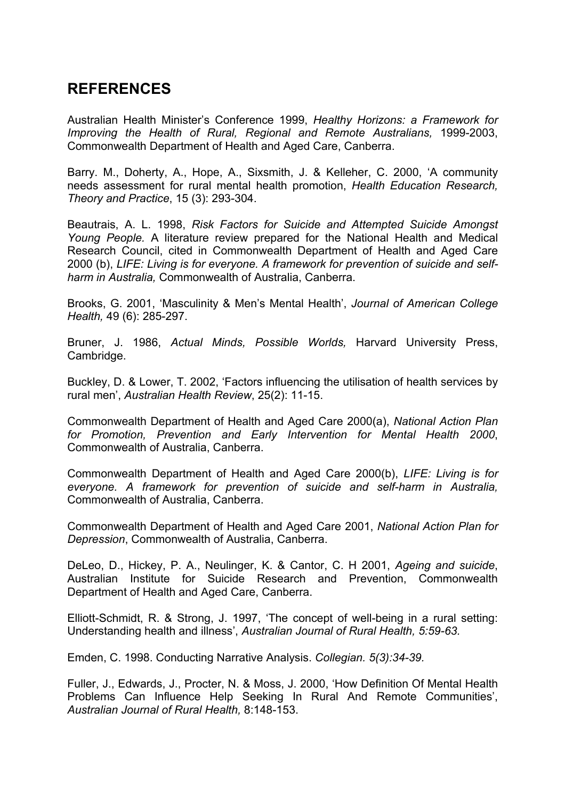### <span id="page-26-0"></span>**REFERENCES**

Australian Health Minister's Conference 1999, *Healthy Horizons: a Framework for Improving the Health of Rural, Regional and Remote Australians,* 1999-2003, Commonwealth Department of Health and Aged Care, Canberra.

Barry. M., Doherty, A., Hope, A., Sixsmith, J. & Kelleher, C. 2000, 'A community needs assessment for rural mental health promotion, *Health Education Research, Theory and Practice*, 15 (3): 293-304.

Beautrais, A. L. 1998, *Risk Factors for Suicide and Attempted Suicide Amongst Young People.* A literature review prepared for the National Health and Medical Research Council, cited in Commonwealth Department of Health and Aged Care 2000 (b), *LIFE: Living is for everyone. A framework for prevention of suicide and selfharm in Australia,* Commonwealth of Australia, Canberra.

Brooks, G. 2001, 'Masculinity & Men's Mental Health', *Journal of American College Health,* 49 (6): 285-297.

Bruner, J. 1986, *Actual Minds, Possible Worlds,* Harvard University Press, Cambridge.

Buckley, D. & Lower, T. 2002, 'Factors influencing the utilisation of health services by rural men', *Australian Health Review*, 25(2): 11-15.

Commonwealth Department of Health and Aged Care 2000(a), *National Action Plan for Promotion, Prevention and Early Intervention for Mental Health 2000*, Commonwealth of Australia, Canberra.

Commonwealth Department of Health and Aged Care 2000(b), *LIFE: Living is for everyone. A framework for prevention of suicide and self-harm in Australia,* Commonwealth of Australia, Canberra.

Commonwealth Department of Health and Aged Care 2001, *National Action Plan for Depression*, Commonwealth of Australia, Canberra.

DeLeo, D., Hickey, P. A., Neulinger, K. & Cantor, C. H 2001, *Ageing and suicide*, Australian Institute for Suicide Research and Prevention, Commonwealth Department of Health and Aged Care, Canberra.

Elliott-Schmidt, R. & Strong, J. 1997, 'The concept of well-being in a rural setting: Understanding health and illness', *Australian Journal of Rural Health, 5:59-63.* 

Emden, C. 1998. Conducting Narrative Analysis. *Collegian. 5(3):34-39.*

Fuller, J., Edwards, J., Procter, N. & Moss, J. 2000, 'How Definition Of Mental Health Problems Can Influence Help Seeking In Rural And Remote Communities', *Australian Journal of Rural Health,* 8:148-153.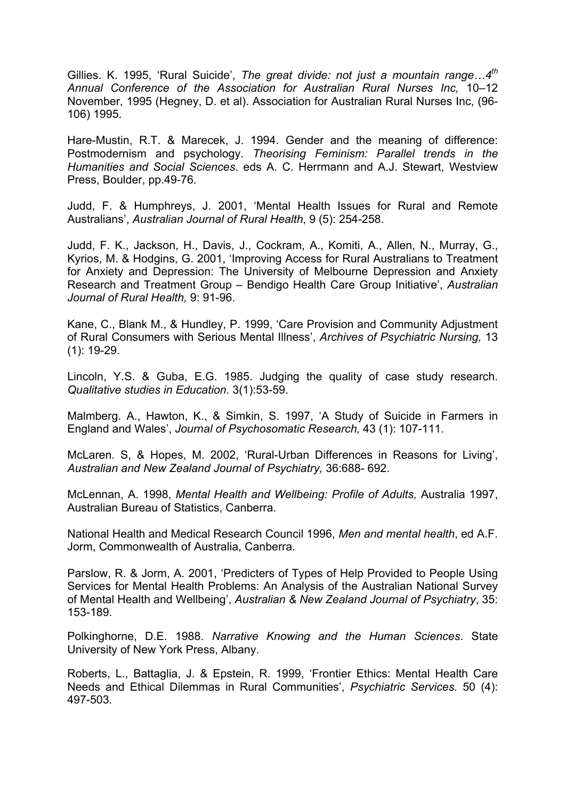Gillies. K. 1995, 'Rural Suicide', *The great divide: not just a mountain range…4th Annual Conference of the Association for Australian Rural Nurses Inc,* 10–12 November, 1995 (Hegney, D. et al). Association for Australian Rural Nurses Inc, (96- 106) 1995.

Hare-Mustin, R.T. & Marecek, J. 1994. Gender and the meaning of difference: Postmodernism and psychology. *Theorising Feminism: Parallel trends in the Humanities and Social Sciences*. eds A. C. Herrmann and A.J. Stewart, Westview Press, Boulder, pp.49-76.

Judd, F. & Humphreys, J. 2001, 'Mental Health Issues for Rural and Remote Australians', *Australian Journal of Rural Health*, 9 (5): 254-258.

Judd, F. K., Jackson, H., Davis, J., Cockram, A., Komiti, A., Allen, N., Murray, G., Kyrios, M. & Hodgins, G. 2001, 'Improving Access for Rural Australians to Treatment for Anxiety and Depression: The University of Melbourne Depression and Anxiety Research and Treatment Group – Bendigo Health Care Group Initiative', *Australian Journal of Rural Health,* 9: 91-96.

Kane, C., Blank M., & Hundley, P. 1999, 'Care Provision and Community Adjustment of Rural Consumers with Serious Mental Illness', *Archives of Psychiatric Nursing,* 13 (1): 19-29.

Lincoln, Y.S. & Guba, E.G. 1985. Judging the quality of case study research. *Qualitative studies in Education*. 3(1):53-59.

Malmberg. A., Hawton, K., & Simkin, S. 1997, 'A Study of Suicide in Farmers in England and Wales', *Journal of Psychosomatic Research,* 43 (1): 107-111.

McLaren. S, & Hopes, M. 2002, 'Rural-Urban Differences in Reasons for Living', *Australian and New Zealand Journal of Psychiatry,* 36:688- 692.

McLennan, A. 1998, *Mental Health and Wellbeing: Profile of Adults,* Australia 1997, Australian Bureau of Statistics, Canberra.

National Health and Medical Research Council 1996, *Men and mental health*, ed A.F. Jorm, Commonwealth of Australia, Canberra.

Parslow, R. & Jorm, A. 2001, 'Predicters of Types of Help Provided to People Using Services for Mental Health Problems: An Analysis of the Australian National Survey of Mental Health and Wellbeing', *Australian & New Zealand Journal of Psychiatry*, 35: 153-189.

Polkinghorne, D.E. 1988. *Narrative Knowing and the Human Sciences*. State University of New York Press, Albany.

Roberts, L., Battaglia, J. & Epstein, R. 1999, 'Frontier Ethics: Mental Health Care Needs and Ethical Dilemmas in Rural Communities', *Psychiatric Services.* 50 (4): 497-503*.*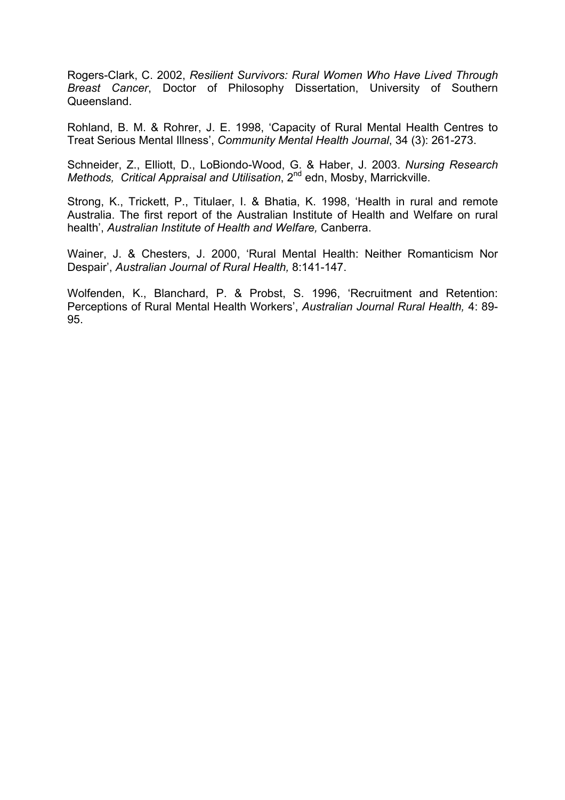Rogers-Clark, C. 2002, *Resilient Survivors: Rural Women Who Have Lived Through Breast Cancer*, Doctor of Philosophy Dissertation, University of Southern Queensland.

Rohland, B. M. & Rohrer, J. E. 1998, 'Capacity of Rural Mental Health Centres to Treat Serious Mental Illness', *Community Mental Health Journal*, 34 (3): 261-273.

Schneider, Z., Elliott, D., LoBiondo-Wood, G. & Haber, J. 2003. *Nursing Research Methods, Critical Appraisal and Utilisation*, 2<sup>nd</sup> edn, Mosby, Marrickville.

Strong, K., Trickett, P., Titulaer, I. & Bhatia, K. 1998, 'Health in rural and remote Australia. The first report of the Australian Institute of Health and Welfare on rural health', *Australian Institute of Health and Welfare,* Canberra.

Wainer, J. & Chesters, J. 2000, 'Rural Mental Health: Neither Romanticism Nor Despair', *Australian Journal of Rural Health,* 8:141-147.

Wolfenden, K., Blanchard, P. & Probst, S. 1996, 'Recruitment and Retention: Perceptions of Rural Mental Health Workers', *Australian Journal Rural Health,* 4: 89- 95.